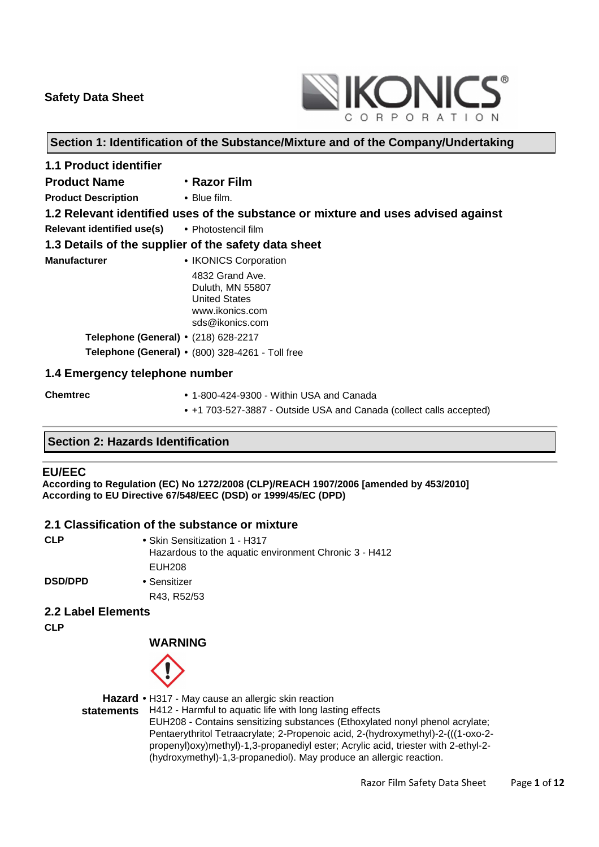

## **Section 1: Identification of the Substance/Mixture and of the Company/Undertaking**

| <b>1.1 Product identifier</b>                        |                                                                                                                            |
|------------------------------------------------------|----------------------------------------------------------------------------------------------------------------------------|
| <b>Product Name</b>                                  | • Razor Film                                                                                                               |
| <b>Product Description • Blue film.</b>              |                                                                                                                            |
|                                                      | 1.2 Relevant identified uses of the substance or mixture and uses advised against                                          |
| Relevant identified use(s) . Photostencil film       |                                                                                                                            |
| 1.3 Details of the supplier of the safety data sheet |                                                                                                                            |
| <b>Manufacturer</b>                                  | • IKONICS Corporation<br>4832 Grand Ave.<br>Duluth, MN 55807<br><b>United States</b><br>www.ikonics.com<br>sds@ikonics.com |
| <b>Telephone (General) •</b> (218) 628-2217          |                                                                                                                            |
|                                                      | Telephone (General) . (800) 328-4261 - Toll free                                                                           |
| 1.4 Emergency telephone number                       |                                                                                                                            |
| <b>Chemtrec</b>                                      | $\bullet$ 1-800-424-9300 - Within USA and Canada                                                                           |

### **Section 2: Hazards Identification**

#### **EU/EEC**

**According to Regulation (EC) No 1272/2008 (CLP)/REACH 1907/2006 [amended by 453/2010] According to EU Directive 67/548/EEC (DSD) or 1999/45/EC (DPD)** 

### **2.1 Classification of the substance or mixture**

| <b>CLP</b>     | • Skin Sensitization 1 - H317<br>Hazardous to the aquatic environment Chronic 3 - H412 |
|----------------|----------------------------------------------------------------------------------------|
|                | EUH208                                                                                 |
| <b>DSD/DPD</b> | • Sensitizer                                                                           |
|                | R43, R52/53                                                                            |

#### **2.2 Label Elements**

**CLP** 

 **WARNING**



**Hazard**  • H317 - May cause an allergic skin reaction

**statements** H412 - Harmful to aquatic life with long lasting effects

EUH208 - Contains sensitizing substances (Ethoxylated nonyl phenol acrylate; Pentaerythritol Tetraacrylate; 2-Propenoic acid, 2-(hydroxymethyl)-2-(((1-oxo-2 propenyl)oxy)methyl)-1,3-propanediyl ester; Acrylic acid, triester with 2-ethyl-2- (hydroxymethyl)-1,3-propanediol). May produce an allergic reaction.

• +1 703-527-3887 - Outside USA and Canada (collect calls accepted)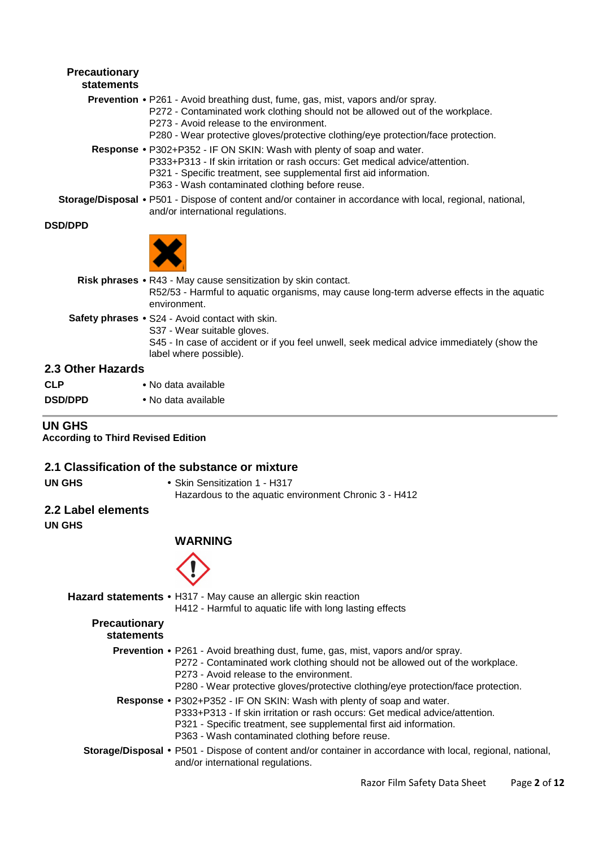# **Precautionary statements Prevention** • P261 - Avoid breathing dust, fume, gas, mist, vapors and/or spray. P272 - Contaminated work clothing should not be allowed out of the workplace. P273 - Avoid release to the environment. P280 - Wear protective gloves/protective clothing/eye protection/face protection. **Response** • P302+P352 - IF ON SKIN: Wash with plenty of soap and water. P333+P313 - If skin irritation or rash occurs: Get medical advice/attention. P321 - Specific treatment, see supplemental first aid information. P363 - Wash contaminated clothing before reuse. **Storage/Disposal** • P501 - Dispose of content and/or container in accordance with local, regional, national, and/or international regulations. **DSD/DPD Risk phrases** • R43 - May cause sensitization by skin contact. R52/53 - Harmful to aquatic organisms, may cause long-term adverse effects in the aquatic environment. **Safety phrases** • S24 - Avoid contact with skin. S37 - Wear suitable gloves. S45 - In case of accident or if you feel unwell, seek medical advice immediately (show the label where possible).

### **2.3 Other Hazards**

| <b>CLP</b>     | • No data available |
|----------------|---------------------|
| <b>DSD/DPD</b> | • No data available |

## **UN GHS**

**According to Third Revised Edition** 

#### **2.1 Classification of the substance or mixture**

- 
- **UN GHS** Skin Sensitization 1 H317

Hazardous to the aquatic environment Chronic 3 - H412

## **2.2 Label elements**

**UN GHS** 

# **WARNING**



|                                    | Hazard statements • H317 - May cause an allergic skin reaction<br>H412 - Harmful to aquatic life with long lasting effects                                                                                                                                                                               |
|------------------------------------|----------------------------------------------------------------------------------------------------------------------------------------------------------------------------------------------------------------------------------------------------------------------------------------------------------|
| <b>Precautionary</b><br>statements |                                                                                                                                                                                                                                                                                                          |
|                                    | <b>Prevention •</b> P261 - Avoid breathing dust, fume, gas, mist, vapors and/or spray.<br>P272 - Contaminated work clothing should not be allowed out of the workplace.<br>P273 - Avoid release to the environment.<br>P280 - Wear protective gloves/protective clothing/eye protection/face protection. |
|                                    | <b>Response •</b> P302+P352 - IF ON SKIN: Wash with plenty of soap and water.<br>P333+P313 - If skin irritation or rash occurs: Get medical advice/attention.<br>P321 - Specific treatment, see supplemental first aid information.<br>P363 - Wash contaminated clothing before reuse.                   |
|                                    | Storage/Disposal • P501 - Dispose of content and/or container in accordance with local, regional, national,<br>and/or international regulations.                                                                                                                                                         |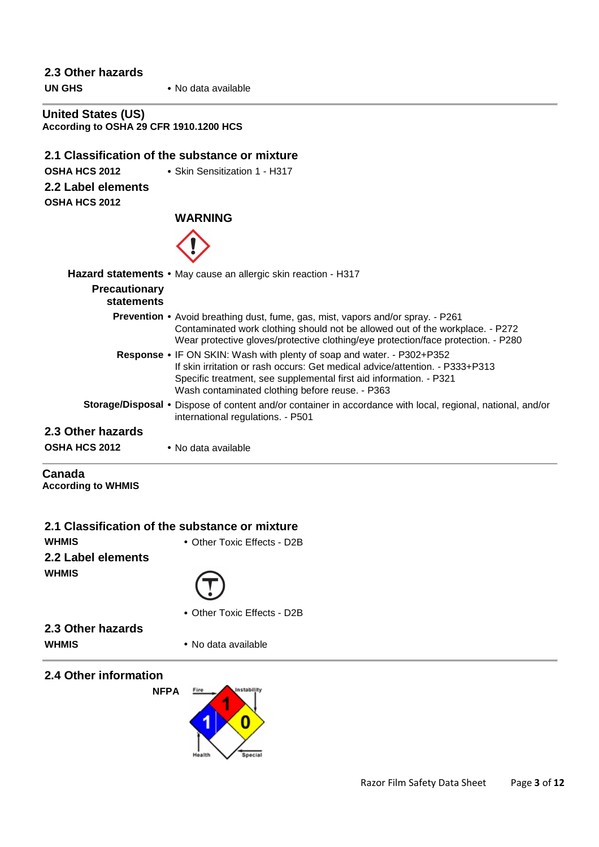# **2.3 Other hazards UN GHS** • No data available **United States (US) According to OSHA 29 CFR 1910.1200 HCS 2.1 Classification of the substance or mixture OSHA HCS 2012** • Skin Sensitization 1 - H317 **2.2 Label elements OSHA HCS 2012 WARNING Hazard statements** • May cause an allergic skin reaction - H317 **Precautionary statements Prevention** • Avoid breathing dust, fume, gas, mist, vapors and/or spray. - P261 Contaminated work clothing should not be allowed out of the workplace. - P272 Wear protective gloves/protective clothing/eye protection/face protection. - P280 **Response** • IF ON SKIN: Wash with plenty of soap and water. - P302+P352 If skin irritation or rash occurs: Get medical advice/attention. - P333+P313 Specific treatment, see supplemental first aid information. - P321 Wash contaminated clothing before reuse. - P363 **Storage/Disposal** • Dispose of content and/or container in accordance with local, regional, national, and/or international regulations. - P501 **2.3 Other hazards OSHA HCS 2012** • No data available **Canada According to WHMIS**

| 2.1 Classification of the substance or mixture |                             |
|------------------------------------------------|-----------------------------|
| <b>WHMIS</b>                                   | • Other Toxic Effects - D2B |
| 2.2 Label elements                             |                             |
| <b>WHMIS</b>                                   | $(\top)$                    |
|                                                | • Other Toxic Effects - D2B |

**2.3 Other hazards WHMIS** • No data available

**2.4 Other information NFPA**

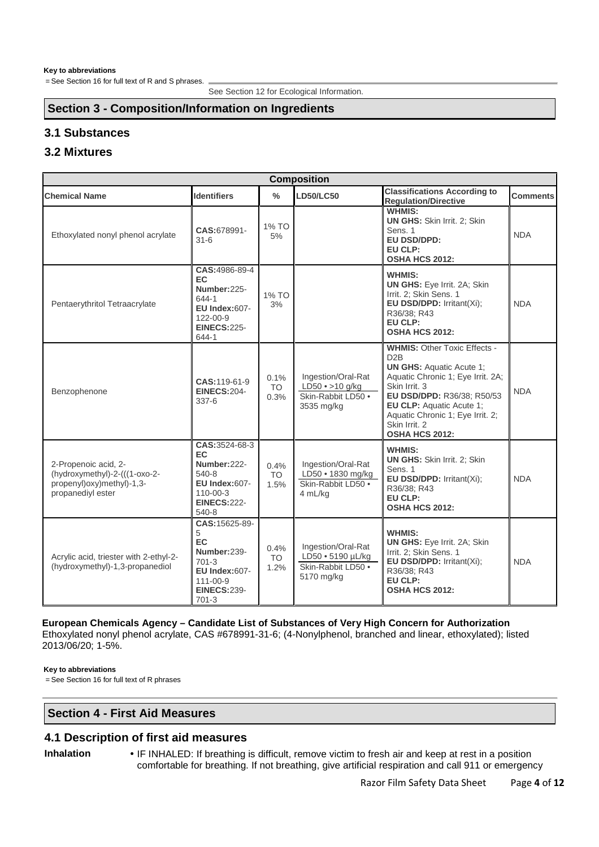# **Section 3 - Composition/Information on Ingredients**

# **3.1 Substances**

# **3.2 Mixtures**

| <b>Composition</b>                                                                                      |                                                                                                                          |                           |                                                                                  |                                                                                                                                                                                                                                                                                          |                 |
|---------------------------------------------------------------------------------------------------------|--------------------------------------------------------------------------------------------------------------------------|---------------------------|----------------------------------------------------------------------------------|------------------------------------------------------------------------------------------------------------------------------------------------------------------------------------------------------------------------------------------------------------------------------------------|-----------------|
| <b>Chemical Name</b>                                                                                    | <b>Identifiers</b>                                                                                                       | $\frac{0}{0}$             | <b>LD50/LC50</b>                                                                 | <b>Classifications According to</b><br><b>Regulation/Directive</b>                                                                                                                                                                                                                       | <b>Comments</b> |
| Ethoxylated nonyl phenol acrylate                                                                       | CAS:678991-<br>$31 - 6$                                                                                                  | 1% TO<br>5%               |                                                                                  | <b>WHMIS:</b><br><b>UN GHS: Skin Irrit. 2: Skin</b><br>Sens. 1<br><b>EU DSD/DPD:</b><br>EU CLP:<br><b>OSHA HCS 2012:</b>                                                                                                                                                                 | <b>NDA</b>      |
| Pentaerythritol Tetraacrylate                                                                           | CAS: 4986-89-4<br>EC.<br>Number: 225-<br>644-1<br>EU Index:607-<br>122-00-9<br><b>EINECS:225-</b><br>644-1               | 1% TO<br>3%               |                                                                                  | <b>WHMIS:</b><br>UN GHS: Eye Irrit. 2A; Skin<br>Irrit. 2; Skin Sens. 1<br>EU DSD/DPD: Irritant(Xi);<br>R36/38; R43<br>EU CLP:<br><b>OSHA HCS 2012:</b>                                                                                                                                   | <b>NDA</b>      |
| Benzophenone                                                                                            | CAS:119-61-9<br><b>EINECS:204-</b><br>$337-6$                                                                            | 0.1%<br><b>TO</b><br>0.3% | Ingestion/Oral-Rat<br>$LD50 \cdot > 10$ g/kg<br>Skin-Rabbit LD50 .<br>3535 mg/kg | <b>WHMIS: Other Toxic Effects -</b><br>D <sub>2</sub> B<br><b>UN GHS: Aquatic Acute 1;</b><br>Aquatic Chronic 1; Eye Irrit. 2A;<br>Skin Irrit. 3<br>EU DSD/DPD: R36/38; R50/53<br>EU CLP: Aquatic Acute 1;<br>Aquatic Chronic 1; Eye Irrit. 2;<br>Skin Irrit, 2<br><b>OSHA HCS 2012:</b> | <b>NDA</b>      |
| 2-Propenoic acid, 2-<br>(hydroxymethyl)-2-(((1-oxo-2-<br>propenyl)oxy)methyl)-1,3-<br>propanediyl ester | CAS:3524-68-3<br>EC.<br>Number: 222-<br>540-8<br>EU Index:607-<br>$110 - 00 - 3$<br><b>EINECS:222-</b><br>540-8          | 0.4%<br><b>TO</b><br>1.5% | Ingestion/Oral-Rat<br>$LD50 \cdot 1830$ mg/kg<br>Skin-Rabbit LD50 .<br>4 mL/kg   | <b>WHMIS:</b><br><b>UN GHS: Skin Irrit. 2; Skin</b><br>Sens. 1<br>EU DSD/DPD: Irritant(Xi);<br>R36/38; R43<br>EU CLP:<br><b>OSHA HCS 2012:</b>                                                                                                                                           | <b>NDA</b>      |
| Acrylic acid, triester with 2-ethyl-2-<br>(hydroxymethyl)-1,3-propanediol                               | CAS: 15625-89-<br>5<br>EC.<br>Number:239-<br>$701-3$<br>EU Index:607-<br>$111 - 00 - 9$<br><b>EINECS:239-</b><br>$701-3$ | 0.4%<br><b>TO</b><br>1.2% | Ingestion/Oral-Rat<br>LD50 • 5190 µL/kg<br>Skin-Rabbit LD50 .<br>5170 mg/kg      | <b>WHMIS:</b><br><b>UN GHS:</b> Eye Irrit. 2A; Skin<br>Irrit. 2: Skin Sens. 1<br>EU DSD/DPD: Irritant(Xi);<br>R36/38; R43<br>EU CLP:<br><b>OSHA HCS 2012:</b>                                                                                                                            | <b>NDA</b>      |

### **European Chemicals Agency – Candidate List of Substances of Very High Concern for Authorization**

Ethoxylated nonyl phenol acrylate, CAS #678991-31-6; (4-Nonylphenol, branched and linear, ethoxylated); listed 2013/06/20; 1-5%.

#### **Key to abbreviations**

= See Section 16 for full text of R phrases

### **Section 4 - First Aid Measures**

### **4.1 Description of first aid measures**

**Inhalation** • IF INHALED: If breathing is difficult, remove victim to fresh air and keep at rest in a position comfortable for breathing. If not breathing, give artificial respiration and call 911 or emergency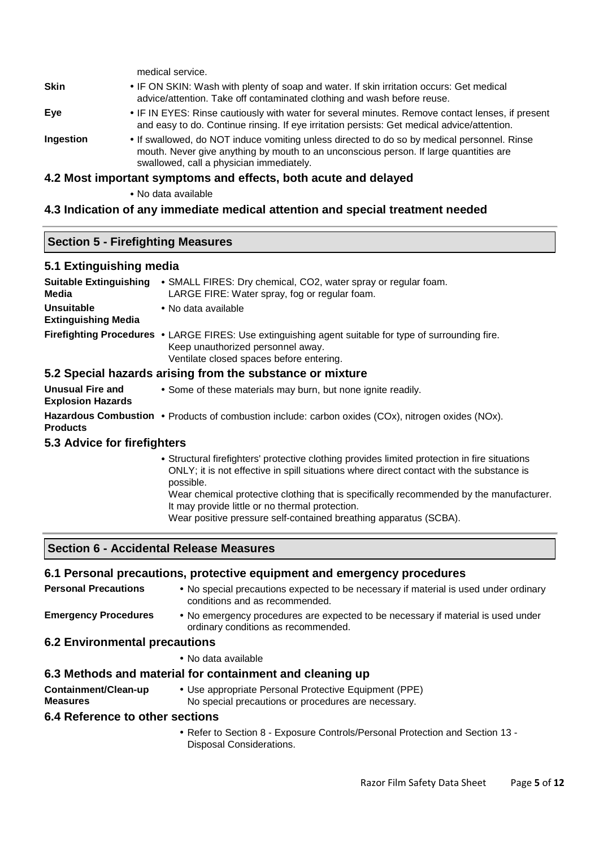|             | medical service.                                                                                                                                                                                                                 |
|-------------|----------------------------------------------------------------------------------------------------------------------------------------------------------------------------------------------------------------------------------|
| <b>Skin</b> | • IF ON SKIN: Wash with plenty of soap and water. If skin irritation occurs: Get medical<br>advice/attention. Take off contaminated clothing and wash before reuse.                                                              |
| Eye         | • IF IN EYES: Rinse cautiously with water for several minutes. Remove contact lenses, if present<br>and easy to do. Continue rinsing. If eye irritation persists: Get medical advice/attention.                                  |
| Ingestion   | • If swallowed, do NOT induce vomiting unless directed to do so by medical personnel. Rinse<br>mouth. Never give anything by mouth to an unconscious person. If large quantities are<br>swallowed, call a physician immediately. |

#### **4.2 Most important symptoms and effects, both acute and delayed**

• No data available

#### **4.3 Indication of any immediate medical attention and special treatment needed**

#### **Section 5 - Firefighting Measures**

#### **5.1 Extinguishing media**

| <b>Suitable Extinguishing</b><br><b>Media</b>   | • SMALL FIRES: Dry chemical, CO2, water spray or regular foam.<br>LARGE FIRE: Water spray, fog or regular foam.                                                                        |
|-------------------------------------------------|----------------------------------------------------------------------------------------------------------------------------------------------------------------------------------------|
| <b>Unsuitable</b><br><b>Extinguishing Media</b> | • No data available                                                                                                                                                                    |
|                                                 | Firefighting Procedures • LARGE FIRES: Use extinguishing agent suitable for type of surrounding fire.<br>Keep unauthorized personnel away.<br>Ventilate closed spaces before entering. |
|                                                 | 5.2 Special hazards arising from the substance or mixture                                                                                                                              |

#### **5.2 Special hazards arising from the substance or mixture**

**Unusual Fire and Explosion Hazards**  • Some of these materials may burn, but none ignite readily.

Hazardous Combustion • Products of combustion include: carbon oxides (COx), nitrogen oxides (NOx). **Products** 

## **5.3 Advice for firefighters**

• Structural firefighters' protective clothing provides limited protection in fire situations ONLY; it is not effective in spill situations where direct contact with the substance is possible.

Wear chemical protective clothing that is specifically recommended by the manufacturer. It may provide little or no thermal protection.

Wear positive pressure self-contained breathing apparatus (SCBA).

# **Section 6 - Accidental Release Measures**

#### **6.1 Personal precautions, protective equipment and emergency procedures**

**Personal Precautions** • No special precautions expected to be necessary if material is used under ordinary conditions and as recommended.

**Emergency Procedures** • No emergency procedures are expected to be necessary if material is used under ordinary conditions as recommended.

#### **6.2 Environmental precautions**

• No data available

#### **6.3 Methods and material for containment and cleaning up**

- **Containment/Clean-up Measures**
- Use appropriate Personal Protective Equipment (PPE) No special precautions or procedures are necessary.

#### **6.4 Reference to other sections**

• Refer to Section 8 - Exposure Controls/Personal Protection and Section 13 - Disposal Considerations.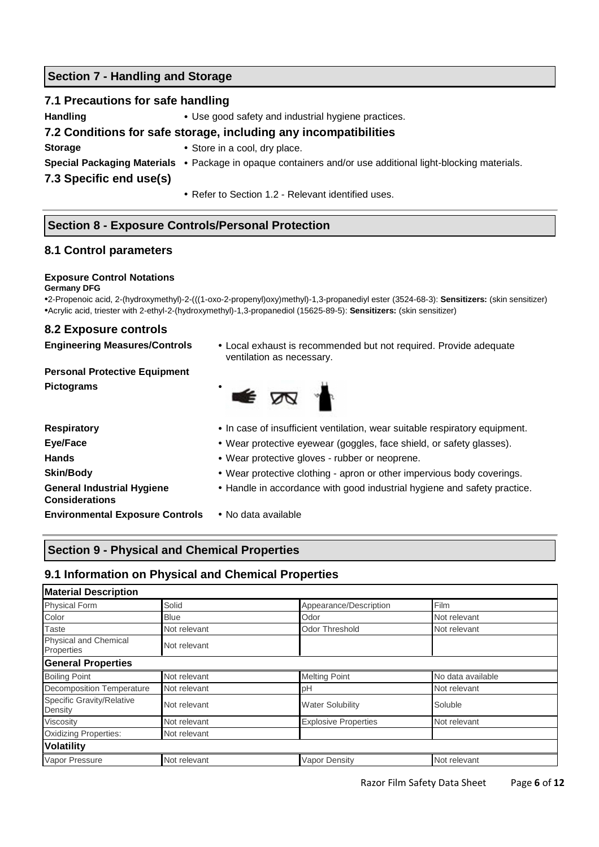## **Section 7 - Handling and Storage**

### **7.1 Precautions for safe handling**

**Handling** • Use good safety and industrial hygiene practices.

## **7.2 Conditions for safe storage, including any incompatibilities**

- **Storage** Store in a cool, dry place.
- 
- **Special Packaging Materials** Package in opaque containers and/or use additional light-blocking materials.

**7.3 Specific end use(s)**

• Refer to Section 1.2 - Relevant identified uses.

# **Section 8 - Exposure Controls/Personal Protection**

## **8.1 Control parameters**

#### **Exposure Control Notations**

#### **Germany DFG**

•2-Propenoic acid, 2-(hydroxymethyl)-2-(((1-oxo-2-propenyl)oxy)methyl)-1,3-propanediyl ester (3524-68-3): **Sensitizers:** (skin sensitizer) •Acrylic acid, triester with 2-ethyl-2-(hydroxymethyl)-1,3-propanediol (15625-89-5): **Sensitizers:** (skin sensitizer)

### **8.2 Exposure controls**

**Engineering Measures/Controls** • Local exhaust is recommended but not required. Provide adequate ventilation as necessary.

**Personal Protective Equipment Pictograms** •



**General Industrial Hygiene Considerations** 

- **Respiratory**  In case of insufficient ventilation, wear suitable respiratory equipment.
- **Eye/Face •** Wear protective eyewear (goggles, face shield, or safety glasses).
- **Hands**  Wear protective gloves rubber or neoprene.
- **Skin/Body** Wear protective clothing apron or other impervious body coverings.
	- Handle in accordance with good industrial hygiene and safety practice.
- **Environmental Exposure Controls**  No data available

# **Section 9 - Physical and Chemical Properties**

# **9.1 Information on Physical and Chemical Properties**

| <b>Material Description</b>          |              |                             |                   |
|--------------------------------------|--------------|-----------------------------|-------------------|
| <b>Physical Form</b>                 | Solid        | Appearance/Description      | Film              |
| Color                                | <b>Blue</b>  | Odor                        | Not relevant      |
| <b>Taste</b>                         | Not relevant | <b>Odor Threshold</b>       | Not relevant      |
| Physical and Chemical<br>Properties  | Not relevant |                             |                   |
| <b>General Properties</b>            |              |                             |                   |
| <b>Boiling Point</b>                 | Not relevant | <b>Melting Point</b>        | No data available |
| <b>Decomposition Temperature</b>     | Not relevant | рH                          | Not relevant      |
| Specific Gravity/Relative<br>Density | Not relevant | <b>Water Solubility</b>     | Soluble           |
| Viscosity                            | Not relevant | <b>Explosive Properties</b> | Not relevant      |
| <b>Oxidizing Properties:</b>         | Not relevant |                             |                   |
| <b>Volatility</b>                    |              |                             |                   |
| Vapor Pressure                       | Not relevant | <b>Vapor Density</b>        | Not relevant      |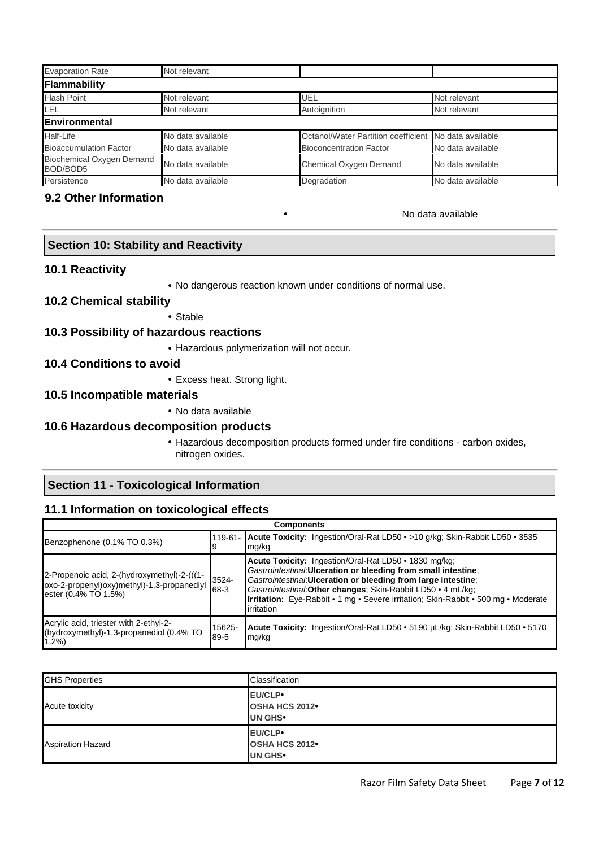| <b>Evaporation Rate</b>                      | Not relevant      |                                                       |                   |
|----------------------------------------------|-------------------|-------------------------------------------------------|-------------------|
| Flammability                                 |                   |                                                       |                   |
| <b>Flash Point</b>                           | Not relevant      | UEL                                                   | Not relevant      |
| LEL                                          | Not relevant      | Autoignition                                          | Not relevant      |
| Environmental                                |                   |                                                       |                   |
| Half-Life                                    | No data available | Octanol/Water Partition coefficient No data available |                   |
| <b>Bioaccumulation Factor</b>                | No data available | <b>Bioconcentration Factor</b>                        | No data available |
| <b>Biochemical Oxygen Demand</b><br>BOD/BOD5 | No data available | Chemical Oxygen Demand                                | No data available |
| Persistence                                  | No data available | Degradation                                           | No data available |

#### **9.2 Other Information**

#### • No data available

# **Section 10: Stability and Reactivity**

#### **10.1 Reactivity**

• No dangerous reaction known under conditions of normal use.

## **10.2 Chemical stability**

• Stable

## **10.3 Possibility of hazardous reactions**

• Hazardous polymerization will not occur.

## **10.4 Conditions to avoid**

• Excess heat. Strong light.

#### **10.5 Incompatible materials**

• No data available

## **10.6 Hazardous decomposition products**

• Hazardous decomposition products formed under fire conditions - carbon oxides, nitrogen oxides.

### **Section 11 - Toxicological Information**

### **11.1 Information on toxicological effects**

| <b>Components</b>                                                                                                 |                  |                                                                                                                                                                                                                                                                                                                                                                              |  |
|-------------------------------------------------------------------------------------------------------------------|------------------|------------------------------------------------------------------------------------------------------------------------------------------------------------------------------------------------------------------------------------------------------------------------------------------------------------------------------------------------------------------------------|--|
| Benzophenone (0.1% TO 0.3%)                                                                                       | 9                | 119-61- Acute Toxicity: Ingestion/Oral-Rat LD50 • >10 g/kg; Skin-Rabbit LD50 • 3535<br>mg/kg                                                                                                                                                                                                                                                                                 |  |
| 2-Propenoic acid, 2-(hydroxymethyl)-2-(((1-<br>oxo-2-propenyl)oxy)methyl)-1,3-propanediyl<br>ester (0.4% TO 1.5%) | $3524 -$<br>68-3 | Acute Toxicity: Ingestion/Oral-Rat LD50 • 1830 mg/kg:<br>Gastrointestinal: Ulceration or bleeding from small intestine;<br>Gastrointestinal: Ulceration or bleeding from large intestine;<br>Gastrointestinal: Other changes: Skin-Rabbit LD50 • 4 mL/kg;<br><b>Irritation:</b> Eye-Rabbit • 1 mg • Severe irritation; Skin-Rabbit • 500 mg • Moderate<br><b>lirritation</b> |  |
| Acrylic acid, triester with 2-ethyl-2-<br>(hydroxymethyl)-1,3-propanediol (0.4% TO<br>1.2%                        | 15625-<br>89-5   | Acute Toxicity: Ingestion/Oral-Rat LD50 • 5190 µL/kg; Skin-Rabbit LD50 • 5170<br>mg/kg                                                                                                                                                                                                                                                                                       |  |

| <b>GHS Properties</b>    | Classification                                         |
|--------------------------|--------------------------------------------------------|
| Acute toxicity           | EU/CLP•<br>OSHA HCS 2012 <sup>•</sup><br><b>UN GHS</b> |
| <b>Aspiration Hazard</b> | EU/CLP•<br><b>OSHA HCS 2012</b><br>UN GHS <sup>.</sup> |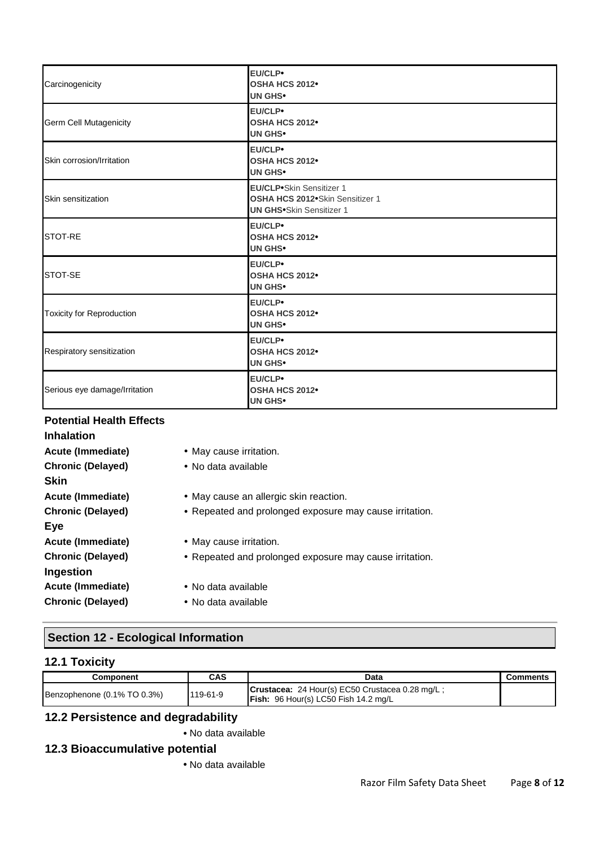| Carcinogenicity                  | <b>EU/CLP</b><br>OSHA HCS 2012 <sup>•</sup><br><b>UN GHS•</b>                                                    |
|----------------------------------|------------------------------------------------------------------------------------------------------------------|
| Germ Cell Mutagenicity           | <b>EU/CLP</b><br>OSHA HCS 2012 <sup>•</sup><br><b>UN GHS•</b>                                                    |
| Skin corrosion/Irritation        | <b>EU/CLP</b><br>OSHA HCS 2012 <sup>•</sup><br><b>UN GHS•</b>                                                    |
| Skin sensitization               | <b>EU/CLP</b> <sup>Skin</sup> Sensitizer 1<br>OSHA HCS 2012•Skin Sensitizer 1<br><b>UN GHS•Skin Sensitizer 1</b> |
| STOT-RE                          | <b>EU/CLP</b><br>OSHA HCS 2012 <sup>•</sup><br><b>UN GHS•</b>                                                    |
| STOT-SE                          | <b>EU/CLP</b><br>OSHA HCS 2012 <sup>•</sup><br><b>UN GHS•</b>                                                    |
| <b>Toxicity for Reproduction</b> | <b>EU/CLP</b><br>OSHA HCS 2012 <sup>•</sup><br><b>UN GHS•</b>                                                    |
| Respiratory sensitization        | <b>EU/CLP</b><br>OSHA HCS 2012 <sup>•</sup><br><b>UN GHS•</b>                                                    |
| Serious eye damage/Irritation    | <b>EU/CLP</b><br>OSHA HCS 2012 <sup>•</sup><br><b>UN GHS•</b>                                                    |

## **Potential Health Effects**

| <b>Inhalation</b>        |                                                         |
|--------------------------|---------------------------------------------------------|
| <b>Acute (Immediate)</b> | • May cause irritation.                                 |
| <b>Chronic (Delayed)</b> | • No data available                                     |
| Skin                     |                                                         |
| Acute (Immediate)        | • May cause an allergic skin reaction.                  |
| <b>Chronic (Delayed)</b> | • Repeated and prolonged exposure may cause irritation. |
| Eye                      |                                                         |
| Acute (Immediate)        | • May cause irritation.                                 |
| <b>Chronic (Delayed)</b> | • Repeated and prolonged exposure may cause irritation. |
| Ingestion                |                                                         |
| Acute (Immediate)        | • No data available                                     |
| <b>Chronic (Delayed)</b> | • No data available                                     |
|                          |                                                         |

# **Section 12 - Ecological Information**

# **12.1 Toxicity**

| Component                   | CAS      | Data                                                                                    | <b>Comments</b> |
|-----------------------------|----------|-----------------------------------------------------------------------------------------|-----------------|
| Benzophenone (0.1% TO 0.3%) | 119-61-9 | Crustacea: 24 Hour(s) EC50 Crustacea 0.28 mg/L;<br>Fish: 96 Hour(s) LC50 Fish 14.2 mg/L |                 |

# **12.2 Persistence and degradability**

• No data available

# **12.3 Bioaccumulative potential**

• No data available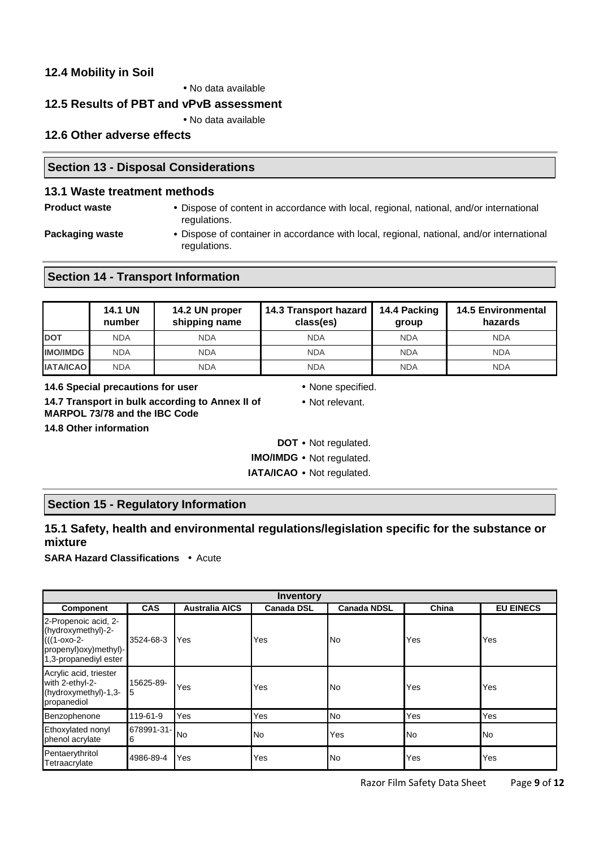## **12.4 Mobility in Soil**

• No data available

## **12.5 Results of PBT and vPvB assessment**

• No data available

## **12.6 Other adverse effects**

## **Section 13 - Disposal Considerations**

## **13.1 Waste treatment methods**

- 
- **Product waste Dispose of content in accordance with local, regional, national, and/or international** regulations.
- 
- **Packaging waste •** Dispose of container in accordance with local, regional, national, and/or international regulations.

# **Section 14 - Transport Information**

|                  | <b>14.1 UN</b><br>number | 14.2 UN proper<br>shipping name | 14.3 Transport hazard<br>class(es) | 14.4 Packing<br>group | <b>14.5 Environmental</b><br>hazards |
|------------------|--------------------------|---------------------------------|------------------------------------|-----------------------|--------------------------------------|
| <b>DOT</b>       | <b>NDA</b>               | <b>NDA</b>                      | <b>NDA</b>                         | <b>NDA</b>            | <b>NDA</b>                           |
| <b>IMO/IMDG</b>  | <b>NDA</b>               | <b>NDA</b>                      | <b>NDA</b>                         | <b>NDA</b>            | <b>NDA</b>                           |
| <b>IATA/ICAO</b> | <b>NDA</b>               | <b>NDA</b>                      | <b>NDA</b>                         | <b>NDA</b>            | <b>NDA</b>                           |

**14.6 Special precautions for user** • None specified.

**14.7 Transport in bulk according to Annex II of MARPOL 73/78 and the IBC Code 14.8 Other information** 

- 
- Not relevant.

**DOT** • Not regulated.

**IMO/IMDG** • Not regulated.

**IATA/ICAO** • Not regulated.

# **Section 15 - Regulatory Information**

# **15.1 Safety, health and environmental regulations/legislation specific for the substance or mixture**

**SARA Hazard Classifications** • Acute

| Inventory                                                                                                                 |                                                                                                             |           |           |           |     |           |  |
|---------------------------------------------------------------------------------------------------------------------------|-------------------------------------------------------------------------------------------------------------|-----------|-----------|-----------|-----|-----------|--|
| <b>Component</b>                                                                                                          | <b>Australia AICS</b><br><b>CAS</b><br><b>Canada NDSL</b><br>China<br><b>EU EINECS</b><br><b>Canada DSL</b> |           |           |           |     |           |  |
| 2-Propenoic acid, 2-<br>(hydroxymethyl)-2-<br>$(((1 - 0 \times 0 - 2 -$<br>propenyl)oxy)methyl)-<br>1,3-propanediyl ester | 3524-68-3                                                                                                   | Yes       | Yes       | No        | Yes | Yes       |  |
| Acrylic acid, triester<br>with 2-ethyl-2-<br>(hydroxymethyl)-1,3-<br>propanediol                                          | 15625-89-<br>5                                                                                              | Yes       | Yes       | <b>No</b> | Yes | Yes       |  |
| Benzophenone                                                                                                              | 119-61-9                                                                                                    | Yes       | Yes       | <b>No</b> | Yes | Yes       |  |
| Ethoxylated nonyl<br>phenol acrylate                                                                                      | 678991-31-<br>6                                                                                             | <b>No</b> | <b>No</b> | Yes       | No  | <b>No</b> |  |
| Pentaerythritol<br>Tetraacrylate                                                                                          | 4986-89-4                                                                                                   | Yes       | Yes       | No        | Yes | Yes       |  |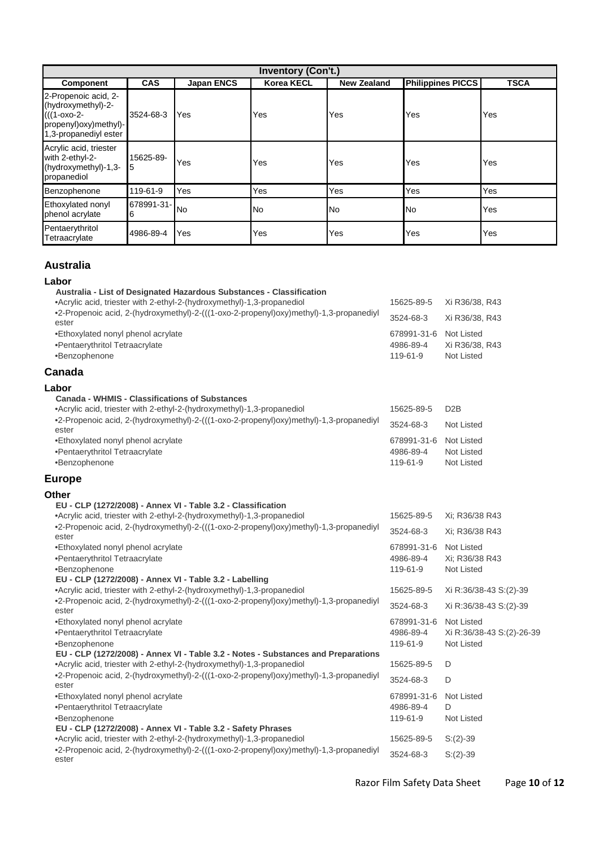| <b>Inventory (Con't.)</b>                                                                                                                 |                 |           |     |     |           |     |
|-------------------------------------------------------------------------------------------------------------------------------------------|-----------------|-----------|-----|-----|-----------|-----|
| <b>Philippines PICCS</b><br><b>CAS</b><br><b>Korea KECL</b><br><b>TSCA</b><br><b>Japan ENCS</b><br><b>New Zealand</b><br><b>Component</b> |                 |           |     |     |           |     |
| 2-Propenoic acid, 2-<br>(hydroxymethyl)-2-<br>(((1-oxo-2-<br>propenyl)oxy)methyl)-<br>1,3-propanediyl ester                               | 3524-68-3       | Yes       | Yes | Yes | Yes       | Yes |
| Acrylic acid, triester<br>with 2-ethyl-2-<br>(hydroxymethyl)-1,3-<br>propanediol                                                          | 15625-89-<br>15 | Yes       | Yes | Yes | Yes       | Yes |
| Benzophenone                                                                                                                              | 119-61-9        | Yes       | Yes | Yes | Yes       | Yes |
| Ethoxylated nonyl<br>phenol acrylate                                                                                                      | 678991-31-<br>6 | <b>No</b> | No  | No  | <b>No</b> | Yes |
| Pentaerythritol<br>Tetraacrylate                                                                                                          | 4986-89-4       | Yes       | Yes | Yes | Yes       | Yes |

# **Australia**

| ۰.<br>-<br>т.<br>v<br>× |
|-------------------------|
|-------------------------|

| Lapor                                                                                                                                  |             |                           |
|----------------------------------------------------------------------------------------------------------------------------------------|-------------|---------------------------|
| Australia - List of Designated Hazardous Substances - Classification                                                                   |             |                           |
| •Acrylic acid, triester with 2-ethyl-2-(hydroxymethyl)-1,3-propanediol                                                                 | 15625-89-5  | Xi R36/38, R43            |
| •2-Propenoic acid, 2-(hydroxymethyl)-2-(((1-oxo-2-propenyl)oxy)methyl)-1,3-propanediyl<br>ester                                        | 3524-68-3   | Xi R36/38, R43            |
| •Ethoxylated nonyl phenol acrylate                                                                                                     | 678991-31-6 | Not Listed                |
| •Pentaerythritol Tetraacrylate                                                                                                         | 4986-89-4   | Xi R36/38, R43            |
| •Benzophenone                                                                                                                          | 119-61-9    | <b>Not Listed</b>         |
| Canada                                                                                                                                 |             |                           |
| Labor                                                                                                                                  |             |                           |
| <b>Canada - WHMIS - Classifications of Substances</b>                                                                                  |             |                           |
| •Acrylic acid, triester with 2-ethyl-2-(hydroxymethyl)-1,3-propanediol                                                                 | 15625-89-5  | D <sub>2</sub> B          |
| •2-Propenoic acid, 2-(hydroxymethyl)-2-(((1-oxo-2-propenyl)oxy)methyl)-1,3-propanediyl<br>ester                                        | 3524-68-3   | <b>Not Listed</b>         |
| •Ethoxylated nonyl phenol acrylate                                                                                                     | 678991-31-6 | Not Listed                |
| •Pentaerythritol Tetraacrylate                                                                                                         | 4986-89-4   | <b>Not Listed</b>         |
| •Benzophenone                                                                                                                          | 119-61-9    | <b>Not Listed</b>         |
| <b>Europe</b>                                                                                                                          |             |                           |
|                                                                                                                                        |             |                           |
| Other                                                                                                                                  |             |                           |
| EU - CLP (1272/2008) - Annex VI - Table 3.2 - Classification<br>•Acrylic acid, triester with 2-ethyl-2-(hydroxymethyl)-1,3-propanediol | 15625-89-5  | Xi: R36/38 R43            |
| •2-Propenoic acid, 2-(hydroxymethyl)-2-(((1-oxo-2-propenyl)oxy)methyl)-1,3-propanediyl                                                 |             |                           |
| ester                                                                                                                                  | 3524-68-3   | Xi: R36/38 R43            |
| •Ethoxylated nonyl phenol acrylate                                                                                                     | 678991-31-6 | Not Listed                |
| •Pentaerythritol Tetraacrylate                                                                                                         | 4986-89-4   | Xi; R36/38 R43            |
| •Benzophenone                                                                                                                          | 119-61-9    | <b>Not Listed</b>         |
| EU - CLP (1272/2008) - Annex VI - Table 3.2 - Labelling                                                                                |             |                           |
| •Acrylic acid, triester with 2-ethyl-2-(hydroxymethyl)-1,3-propanediol                                                                 | 15625-89-5  | Xi R:36/38-43 S:(2)-39    |
| •2-Propenoic acid, 2-(hydroxymethyl)-2-(((1-oxo-2-propenyl)oxy)methyl)-1,3-propanediyl<br>ester                                        | 3524-68-3   | Xi R:36/38-43 S:(2)-39    |
| •Ethoxylated nonyl phenol acrylate                                                                                                     | 678991-31-6 | <b>Not Listed</b>         |
| •Pentaerythritol Tetraacrylate                                                                                                         | 4986-89-4   | Xi R:36/38-43 S:(2)-26-39 |
| •Benzophenone                                                                                                                          | 119-61-9    | <b>Not Listed</b>         |
| EU - CLP (1272/2008) - Annex VI - Table 3.2 - Notes - Substances and Preparations                                                      |             |                           |
| •Acrylic acid, triester with 2-ethyl-2-(hydroxymethyl)-1,3-propanediol                                                                 | 15625-89-5  | D                         |
| •2-Propenoic acid, 2-(hydroxymethyl)-2-(((1-oxo-2-propenyl)oxy)methyl)-1,3-propanediyl<br>ester                                        | 3524-68-3   | D                         |
| •Ethoxylated nonyl phenol acrylate                                                                                                     | 678991-31-6 | <b>Not Listed</b>         |
| •Pentaerythritol Tetraacrylate                                                                                                         | 4986-89-4   | D                         |
| •Benzophenone                                                                                                                          | 119-61-9    | Not Listed                |
| EU - CLP (1272/2008) - Annex VI - Table 3.2 - Safety Phrases                                                                           |             |                           |
| •Acrylic acid, triester with 2-ethyl-2-(hydroxymethyl)-1,3-propanediol                                                                 | 15625-89-5  | $S:(2)-39$                |
| •2-Propenoic acid, 2-(hydroxymethyl)-2-(((1-oxo-2-propenyl)oxy)methyl)-1,3-propanediyl<br>ester                                        | 3524-68-3   | $S:(2)-39$                |

Razor Film Safety Data Sheet Page **10** of **12**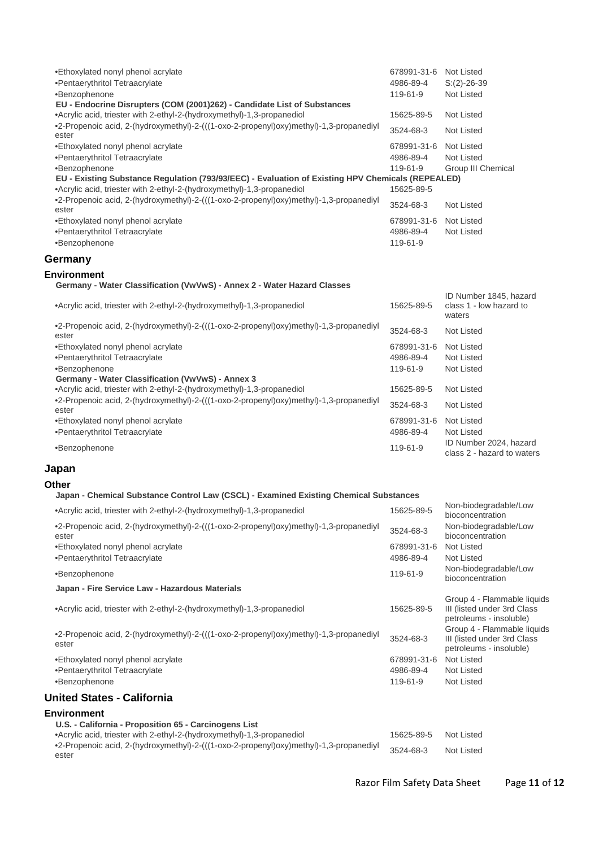| •Ethoxylated nonyl phenol acrylate                                                                | 678991-31-6 | Not Listed         |
|---------------------------------------------------------------------------------------------------|-------------|--------------------|
| •Pentaerythritol Tetraacrylate                                                                    | 4986-89-4   | $S:(2)-26-39$      |
| •Benzophenone                                                                                     | 119-61-9    | Not Listed         |
| EU - Endocrine Disrupters (COM (2001)262) - Candidate List of Substances                          |             |                    |
| •Acrylic acid, triester with 2-ethyl-2-(hydroxymethyl)-1,3-propanediol                            | 15625-89-5  | Not Listed         |
| •2-Propenoic acid, 2-(hydroxymethyl)-2-(((1-oxo-2-propenyl)oxy)methyl)-1,3-propanediyl<br>ester   | 3524-68-3   | Not Listed         |
| •Ethoxylated nonyl phenol acrylate                                                                | 678991-31-6 | Not Listed         |
| •Pentaerythritol Tetraacrylate                                                                    | 4986-89-4   | Not Listed         |
| •Benzophenone                                                                                     | 119-61-9    | Group III Chemical |
| EU - Existing Substance Regulation (793/93/EEC) - Evaluation of Existing HPV Chemicals (REPEALED) |             |                    |
| •Acrylic acid, triester with 2-ethyl-2-(hydroxymethyl)-1,3-propanediol                            | 15625-89-5  |                    |
| •2-Propenoic acid, 2-(hydroxymethyl)-2-(((1-oxo-2-propenyl)oxy)methyl)-1,3-propanediyl<br>ester   | 3524-68-3   | Not Listed         |
| •Ethoxylated nonyl phenol acrylate                                                                | 678991-31-6 | Not Listed         |
| •Pentaerythritol Tetraacrylate                                                                    | 4986-89-4   | Not Listed         |
| •Benzophenone                                                                                     | 119-61-9    |                    |

# **Germany**

#### **Environment**

#### **Germany - Water Classification (VwVwS) - Annex 2 - Water Hazard Classes**

| •Acrylic acid, triester with 2-ethyl-2-(hydroxymethyl)-1,3-propanediol                          | 15625-89-5  | ID Number 1845, hazard<br>class 1 - low hazard to<br>waters |
|-------------------------------------------------------------------------------------------------|-------------|-------------------------------------------------------------|
| •2-Propenoic acid, 2-(hydroxymethyl)-2-(((1-oxo-2-propenyl)oxy)methyl)-1,3-propanediyl<br>ester | 3524-68-3   | Not Listed                                                  |
| •Ethoxylated nonyl phenol acrylate                                                              | 678991-31-6 | Not Listed                                                  |
| •Pentaerythritol Tetraacrylate                                                                  | 4986-89-4   | Not Listed                                                  |
| •Benzophenone                                                                                   | 119-61-9    | Not Listed                                                  |
| Germany - Water Classification (VwVwS) - Annex 3                                                |             |                                                             |
| •Acrylic acid, triester with 2-ethyl-2-(hydroxymethyl)-1,3-propanediol                          | 15625-89-5  | Not Listed                                                  |
| •2-Propenoic acid, 2-(hydroxymethyl)-2-(((1-oxo-2-propenyl)oxy)methyl)-1,3-propanediyl<br>ester | 3524-68-3   | Not Listed                                                  |
| •Ethoxylated nonyl phenol acrylate                                                              | 678991-31-6 | Not Listed                                                  |
| •Pentaerythritol Tetraacrylate                                                                  | 4986-89-4   | Not Listed                                                  |
| •Benzophenone                                                                                   | 119-61-9    | ID Number 2024, hazard<br>class 2 - hazard to waters        |

#### **Japan**

#### **Other**

#### **Japan - Chemical Substance Control Law (CSCL) - Examined Existing Chemical Substances**

| •Acrylic acid, triester with 2-ethyl-2-(hydroxymethyl)-1,3-propanediol                          | 15625-89-5  | Non-biodegradable/Low<br>bioconcentration                                             |
|-------------------------------------------------------------------------------------------------|-------------|---------------------------------------------------------------------------------------|
| •2-Propenoic acid, 2-(hydroxymethyl)-2-(((1-oxo-2-propenyl)oxy)methyl)-1,3-propanediyl<br>ester | 3524-68-3   | Non-biodegradable/Low<br>bioconcentration                                             |
| •Ethoxylated nonyl phenol acrylate                                                              | 678991-31-6 | Not Listed                                                                            |
| •Pentaerythritol Tetraacrylate                                                                  | 4986-89-4   | Not Listed                                                                            |
| •Benzophenone                                                                                   | 119-61-9    | Non-biodegradable/Low<br>bioconcentration                                             |
| Japan - Fire Service Law - Hazardous Materials                                                  |             |                                                                                       |
| •Acrylic acid, triester with 2-ethyl-2-(hydroxymethyl)-1,3-propanediol                          | 15625-89-5  | Group 4 - Flammable liquids<br>III (listed under 3rd Class<br>petroleums - insoluble) |
| •2-Propenoic acid, 2-(hydroxymethyl)-2-(((1-oxo-2-propenyl)oxy)methyl)-1,3-propanediyl<br>ester | 3524-68-3   | Group 4 - Flammable liquids<br>III (listed under 3rd Class<br>petroleums - insoluble) |
| •Ethoxylated nonyl phenol acrylate                                                              | 678991-31-6 | Not Listed                                                                            |
| •Pentaerythritol Tetraacrylate                                                                  | 4986-89-4   | Not Listed                                                                            |
| •Benzophenone                                                                                   | 119-61-9    | Not Listed                                                                            |
| United States - California                                                                      |             |                                                                                       |
| <b>Environment</b>                                                                              |             |                                                                                       |
| U.S. - California - Proposition 65 - Carcinogens List                                           |             |                                                                                       |
|                                                                                                 |             |                                                                                       |

•Acrylic acid, triester with 2-ethyl-2-(hydroxymethyl)-1,3-propanediol 15625-89-5 Not Listed •2-Propenoic acid, 2-(hydroxymethyl)-2-(((1-oxo-2-propenyl)oxy)methyl)-1,3-propanediyl ester 3524-68-3 Not Listed